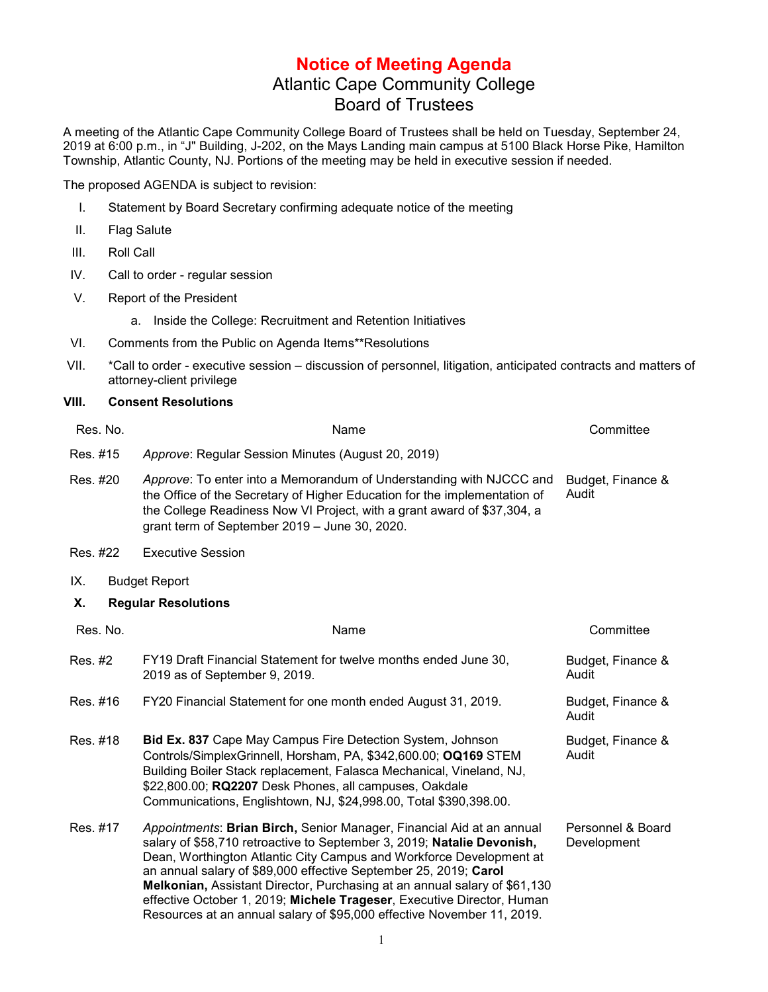## **Notice of Meeting Agenda** Atlantic Cape Community College Board of Trustees

A meeting of the Atlantic Cape Community College Board of Trustees shall be held on Tuesday, September 24, 2019 at 6:00 p.m., in "J" Building, J-202, on the Mays Landing main campus at 5100 Black Horse Pike, Hamilton Township, Atlantic County, NJ. Portions of the meeting may be held in executive session if needed.

The proposed AGENDA is subject to revision:

- I. Statement by Board Secretary confirming adequate notice of the meeting
- II. Flag Salute
- III. Roll Call
- IV. Call to order regular session
- V. Report of the President
	- a. Inside the College: Recruitment and Retention Initiatives
- VI. Comments from the Public on Agenda Items\*\*Resolutions
- VII. \*Call to order executive session discussion of personnel, litigation, anticipated contracts and matters of attorney-client privilege

## **VIII. Consent Resolutions**

| Res. No. | Name                                                                                                                                                                                                                                                                                                                                                                                                                                                                                                                        | Committee                        |
|----------|-----------------------------------------------------------------------------------------------------------------------------------------------------------------------------------------------------------------------------------------------------------------------------------------------------------------------------------------------------------------------------------------------------------------------------------------------------------------------------------------------------------------------------|----------------------------------|
| Res. #15 | Approve: Regular Session Minutes (August 20, 2019)                                                                                                                                                                                                                                                                                                                                                                                                                                                                          |                                  |
| Res. #20 | Approve: To enter into a Memorandum of Understanding with NJCCC and<br>the Office of the Secretary of Higher Education for the implementation of<br>the College Readiness Now VI Project, with a grant award of \$37,304, a<br>grant term of September 2019 - June 30, 2020.                                                                                                                                                                                                                                                | Budget, Finance &<br>Audit       |
| Res. #22 | <b>Executive Session</b>                                                                                                                                                                                                                                                                                                                                                                                                                                                                                                    |                                  |
| IX.      | <b>Budget Report</b>                                                                                                                                                                                                                                                                                                                                                                                                                                                                                                        |                                  |
| Χ.       | <b>Regular Resolutions</b>                                                                                                                                                                                                                                                                                                                                                                                                                                                                                                  |                                  |
| Res. No. | Name                                                                                                                                                                                                                                                                                                                                                                                                                                                                                                                        | Committee                        |
| Res. #2  | FY19 Draft Financial Statement for twelve months ended June 30,<br>2019 as of September 9, 2019.                                                                                                                                                                                                                                                                                                                                                                                                                            | Budget, Finance &<br>Audit       |
| Res. #16 | FY20 Financial Statement for one month ended August 31, 2019.                                                                                                                                                                                                                                                                                                                                                                                                                                                               | Budget, Finance &<br>Audit       |
| Res. #18 | Bid Ex. 837 Cape May Campus Fire Detection System, Johnson<br>Controls/SimplexGrinnell, Horsham, PA, \$342,600.00; OQ169 STEM<br>Building Boiler Stack replacement, Falasca Mechanical, Vineland, NJ,<br>\$22,800.00; RQ2207 Desk Phones, all campuses, Oakdale<br>Communications, Englishtown, NJ, \$24,998.00, Total \$390,398.00.                                                                                                                                                                                        | Budget, Finance &<br>Audit       |
| Res. #17 | Appointments: Brian Birch, Senior Manager, Financial Aid at an annual<br>salary of \$58,710 retroactive to September 3, 2019; Natalie Devonish,<br>Dean, Worthington Atlantic City Campus and Workforce Development at<br>an annual salary of \$89,000 effective September 25, 2019; Carol<br>Melkonian, Assistant Director, Purchasing at an annual salary of \$61,130<br>effective October 1, 2019; Michele Trageser, Executive Director, Human<br>Resources at an annual salary of \$95,000 effective November 11, 2019. | Personnel & Board<br>Development |